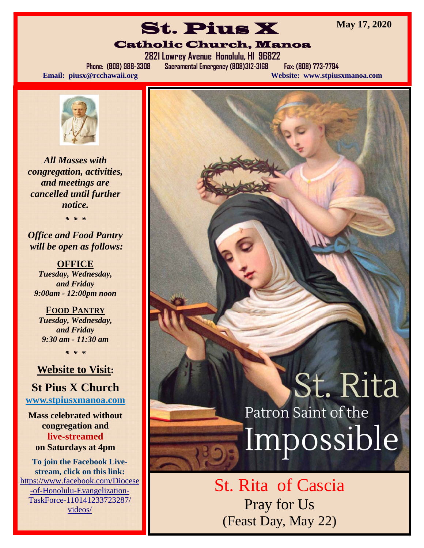**May 17, 2020** 

# St. Pius X Catholic Church, Manoa

**2821 Lowrey Avenue Honolulu, HI 96822** 

**Phone: (808) 988-3308 Sacramental Emergency (808)312-3168 Fax: (808) 773-7794 Email: piusx@rcchawaii.org Website: www.stpiusxmanoa.com**



*All Masses with congregation, activities, and meetings are cancelled until further notice.* 

*\* \* \** 

*Office and Food Pantry will be open as follows:* 

**OFFICE**  *Tuesday, Wednesday, and Friday 9:00am - 12:00pm noon* 

**FOOD PANTRY** *Tuesday, Wednesday, and Friday 9:30 am - 11:30 am* 

*\* \* \** 

#### **Website to Visit:**

### **St Pius X Church**

**www.stpiusxmanoa.com** 

**Mass celebrated without congregation and live-streamed on Saturdays at 4pm** 

**To join the Facebook Livestream, click on this link:**  https://www.facebook.com/Diocese -of-Honolulu-Evangelization-TaskForce-110141233723287/ videos/

# St. Rita Patron Saint of the Impossible

St. Rita of Cascia Pray for Us (Feast Day, May 22)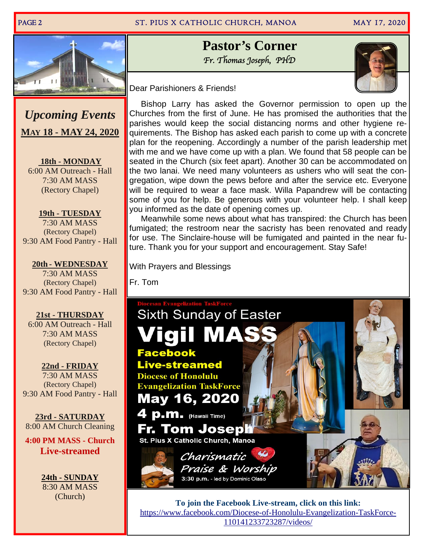#### PAGE 2 ST. PIUS X CATHOLIC CHURCH, MANOA

MAY 17, 2020



*Upcoming Events*  **MAY 18 - MAY 24, 2020** 

 **18th - MONDAY**  6:00 AM Outreach - Hall 7:30 AM MASS (Rectory Chapel)

**19th - TUESDAY**  7:30 AM MASS (Rectory Chapel) 9:30 AM Food Pantry - Hall

#### **20th - WEDNESDAY**  7:30 AM MASS (Rectory Chapel) 9:30 AM Food Pantry - Hall

#### **21st - THURSDAY**

6:00 AM Outreach - Hall 7:30 AM MASS (Rectory Chapel)

**22nd - FRIDAY**  7:30 AM MASS (Rectory Chapel) 9:30 AM Food Pantry - Hall

**23rd - SATURDAY**  8:00 AM Church Cleaning

**4:00 PM MASS - Church Live-streamed** 

> **24th - SUNDAY** 8:30 AM MASS (Church)

## **Pastor's Corner**  Fr. Thomas Joseph, PHD



Dear Parishioners & Friends!

 Bishop Larry has asked the Governor permission to open up the Churches from the first of June. He has promised the authorities that the parishes would keep the social distancing norms and other hygiene requirements. The Bishop has asked each parish to come up with a concrete plan for the reopening. Accordingly a number of the parish leadership met with me and we have come up with a plan. We found that 58 people can be seated in the Church (six feet apart). Another 30 can be accommodated on the two lanai. We need many volunteers as ushers who will seat the congregation, wipe down the pews before and after the service etc. Everyone will be required to wear a face mask. Willa Papandrew will be contacting some of you for help. Be generous with your volunteer help. I shall keep you informed as the date of opening comes up.

 Meanwhile some news about what has transpired: the Church has been fumigated; the restroom near the sacristy has been renovated and ready for use. The Sinclaire-house will be fumigated and painted in the near future. Thank you for your support and encouragement. Stay Safe!

With Prayers and Blessings

Fr. Tom



**To join the Facebook Live-stream, click on this link:**  https://www.facebook.com/Diocese-of-Honolulu-Evangelization-TaskForce-110141233723287/videos/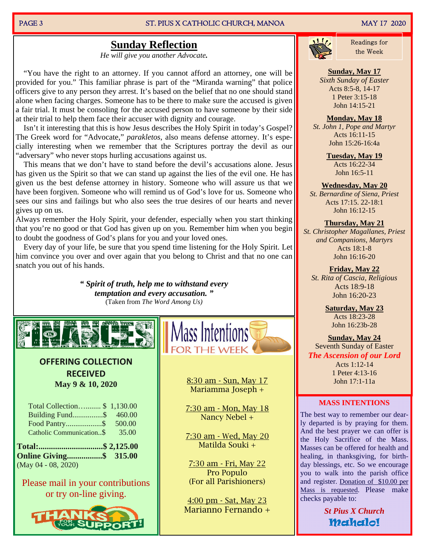#### PAGE 3 ST. PIUS X CATHOLIC CHURCH, MANOA MAY 17 2020

# Sunday Reflection **Sunday Reflection**

*He will give you another Advocate.*

 "You have the right to an attorney. If you cannot afford an attorney, one will be provided for you." This familiar phrase is part of the "Miranda warning" that police officers give to any person they arrest. It's based on the belief that no one should stand alone when facing charges. Someone has to be there to make sure the accused is given a fair trial. It must be consoling for the accused person to have someone by their side at their trial to help them face their accuser with dignity and courage.

 Isn't it interesting that this is how Jesus describes the Holy Spirit in today's Gospel? The Greek word for "Advocate," *parakletos*, also means defense attorney. It's especially interesting when we remember that the Scriptures portray the devil as our "adversary" who never stops hurling accusations against us.

 This means that we don't have to stand before the devil's accusations alone. Jesus has given us the Spirit so that we can stand up against the lies of the evil one. He has given us the best defense attorney in history. Someone who will assure us that we have been forgiven. Someone who will remind us of God's love for us. Someone who sees our sins and failings but who also sees the true desires of our hearts and never gives up on us.

Always remember the Holy Spirit, your defender, especially when you start thinking that you're no good or that God has given up on you. Remember him when you begin to doubt the goodness of God's plans for you and your loved ones.

 Every day of your life, be sure that you spend time listening for the Holy Spirit. Let him convince you over and over again that you belong to Christ and that no one can snatch you out of his hands.

> *" Spirit of truth, help me to withstand every temptation and every accusation. "*  (Taken from *The Word Among Us)*



#### **OFFERING COLLECTION RECEIVED May 9 & 10, 2020**

| Total Collection\$ 1,130.00   |       |
|-------------------------------|-------|
| Building Fund\$ 460.00        |       |
|                               |       |
| Catholic Communication\$      | 35.00 |
| Total:\$ 2,125.00             |       |
| <b>Online Giving\$</b> 315.00 |       |
|                               |       |

Please mail in your contributions or try on-line giving.



Mass Intentions **FOR THE WEEK** 

> 8:30 am - Sun, May 17 Mariamma Joseph +

7:30 am - Mon, May 18 Nancy Nebel +

7:30 am - Wed, May 20 Matilda Souki +

7:30 am - Fri, May 22 Pro Populo (For all Parishioners)

4:00 pm - Sat, May 23 Marianno Fernando +



Readings for

#### **Sunday, May 17**

*Sixth Sunday of Easter*  Acts 8:5-8, 14-17 1 Peter 3:15-18 John 14:15-21

#### **Monday, May 18**

*St. John 1, Pope and Martyr*  Acts 16:11-15 John 15:26-16:4a

> **Tuesday, May 19**  Acts 16:22-34 John 16:5-11

#### **Wednesday, May 20**

*St. Bernardine of Siena, Priest*  Acts 17:15. 22-18:1 John 16:12-15

#### **Thursday, May 21**

*St. Christopher Magallanes, Priest and Companions, Martyrs*  Acts 18:1-8 John 16:16-20

**Friday, May 22**  *St. Rita of Cascia, Religious*  Acts 18:9-18 John 16:20-23

> **Saturday, May 23**  Acts 18:23-28 John 16:23b-28

**Sunday, May 24**  Seventh Sunday of Easter *The Ascension of our Lord*  Acts 1:12-14 1 Peter 4:13-16 John 17:1-11a

#### **MASS INTENTIONS**

The best way to remember our dearly departed is by praying for them. And the best prayer we can offer is the Holy Sacrifice of the Mass. Masses can be offered for health and healing, in thanksgiving, for birthday blessings, etc. So we encourage you to walk into the parish office and register. Donation of \$10.00 per Mass is requested. Please make checks payable to:

> *St Pius X Church* Mahalo!